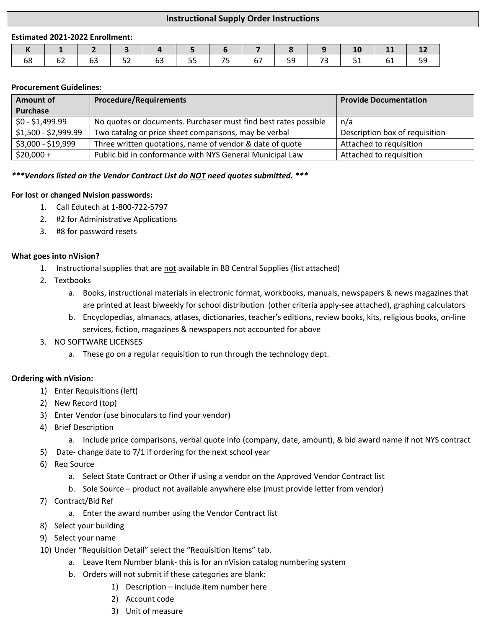# **Instructional Supply Order Instructions**

#### **Estimated 2021-2022 Enrollment:**

|    |    |                                     |                                                                       |         | 178191 |                   |  |
|----|----|-------------------------------------|-----------------------------------------------------------------------|---------|--------|-------------------|--|
| 68 | 62 | $\begin{array}{ccc} \end{array}$ 63 | $\begin{array}{ c c c c c c c c } \hline & 52 & & 63 & & \end{array}$ | 55   75 |        | 67   59   73   51 |  |

#### **Procurement Guidelines:**

| <b>Amount of</b>     | <b>Procedure/Requirements</b>                                   | <b>Provide Documentation</b>   |  |  |
|----------------------|-----------------------------------------------------------------|--------------------------------|--|--|
| Purchase             |                                                                 |                                |  |  |
| $$0 - $1,499.99$     | No quotes or documents. Purchaser must find best rates possible | n/a                            |  |  |
| \$1,500 - \$2,999.99 | Two catalog or price sheet comparisons, may be verbal           | Description box of requisition |  |  |
| \$3,000 - \$19,999   | Three written quotations, name of vendor & date of quote        | Attached to requisition        |  |  |
| $$20,000+$           | Public bid in conformance with NYS General Municipal Law        | Attached to requisition        |  |  |

#### *\*\*\*Vendors listed on the Vendor Contract List do NOT need quotes submitted. \*\*\**

#### **For lost or changed Nvision passwords:**

- 1. Call Edutech at 1-800-722-5797
- 2. #2 for Administrative Applications
- 3. #8 for password resets

## **What goes into nVision?**

- 1. Instructional supplies that are not available in BB Central Supplies (list attached)
- 2. Textbooks
	- a. Books, instructional materials in electronic format, workbooks, manuals, newspapers & news magazines that are printed at least biweekly for school distribution (other criteria apply-see attached), graphing calculators
	- b. Encyclopedias, almanacs, atlases, dictionaries, teacher's editions, review books, kits, religious books, on-line services, fiction, magazines & newspapers not accounted for above

## 3. NO SOFTWARE LICENSES

a. These go on a regular requisition to run through the technology dept.

## **Ordering with nVision:**

- 1) Enter Requisitions (left)
- 2) New Record (top)
- 3) Enter Vendor (use binoculars to find your vendor)
- 4) Brief Description
	- a. Include price comparisons, verbal quote info (company, date, amount), & bid award name if not NYS contract
- 5) Date- change date to 7/1 if ordering for the next school year
- 6) Req Source
	- a. Select State Contract or Other if using a vendor on the Approved Vendor Contract list
	- b. Sole Source product not available anywhere else (must provide letter from vendor)
- 7) Contract/Bid Ref
	- a. Enter the award number using the Vendor Contract list
- 8) Select your building
- 9) Select your name
- 10) Under "Requisition Detail" select the "Requisition Items" tab.
	- a. Leave Item Number blank- this is for an nVision catalog numbering system
	- b. Orders will not submit if these categories are blank:
		- 1) Description include item number here
		- 2) Account code
		- 3) Unit of measure